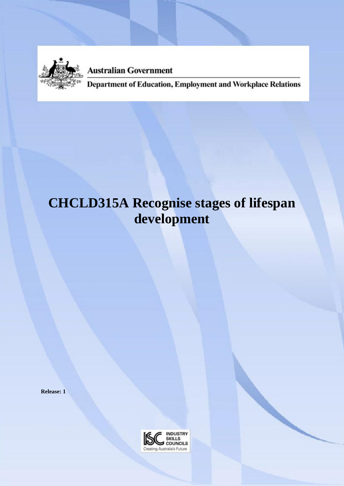

**Australian Government** 

Department of Education, Employment and Workplace Relations

# **CHCLD315A Recognise stages of lifespan development**

**Release: 1**

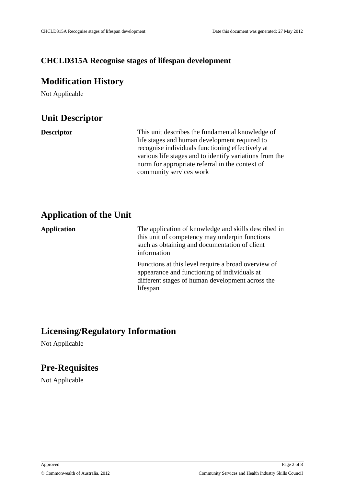### **CHCLD315A Recognise stages of lifespan development**

### **Modification History**

Not Applicable

## **Unit Descriptor**

**Descriptor** This unit describes the fundamental knowledge of life stages and human development required to recognise individuals functioning effectively at various life stages and to identify variations from the norm for appropriate referral in the context of community services work

## **Application of the Unit**

**Application** The application of knowledge and skills described in this unit of competency may underpin functions such as obtaining and documentation of client information

> Functions at this level require a broad overview of appearance and functioning of individuals at different stages of human development across the lifespan

## **Licensing/Regulatory Information**

Not Applicable

## **Pre-Requisites**

Not Applicable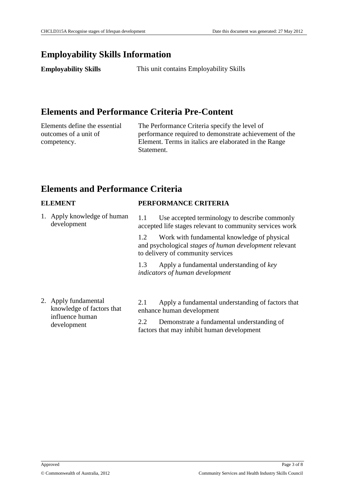## **Employability Skills Information**

**Employability Skills** This unit contains Employability Skills

## **Elements and Performance Criteria Pre-Content**

Elements define the essential outcomes of a unit of competency.

The Performance Criteria specify the level of performance required to demonstrate achievement of the Element. Terms in italics are elaborated in the Range Statement.

## **Elements and Performance Criteria**

| <b>ELEMENT</b>                                                                      | PERFORMANCE CRITERIA                                                                                                                              |  |
|-------------------------------------------------------------------------------------|---------------------------------------------------------------------------------------------------------------------------------------------------|--|
| 1. Apply knowledge of human<br>development                                          | Use accepted terminology to describe commonly<br>1.1<br>accepted life stages relevant to community services work                                  |  |
|                                                                                     | Work with fundamental knowledge of physical<br>1.2<br>and psychological stages of human development relevant<br>to delivery of community services |  |
|                                                                                     | Apply a fundamental understanding of key<br>1.3<br>indicators of human development                                                                |  |
| 2. Apply fundamental<br>knowledge of factors that<br>influence human<br>dovolonmont | Apply a fundamental understanding of factors that<br>2.1<br>enhance human development                                                             |  |
|                                                                                     | Demonstrate a fundamental understanding of<br>2.2                                                                                                 |  |

factors that may inhibit human development

development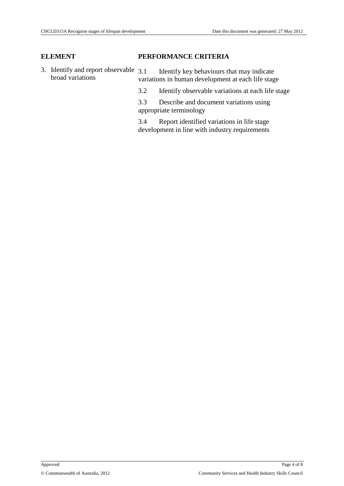### **ELEMENT PERFORMANCE CRITERIA**

- 3. Identify and report observable 3.1 broad variations Identify key behaviours that may indicate variations in human development at each life stage
	- 3.2 Identify observable variations at each life stage

3.3 Describe and document variations using appropriate terminology

3.4 Report identified variations in life stage development in line with industry requirements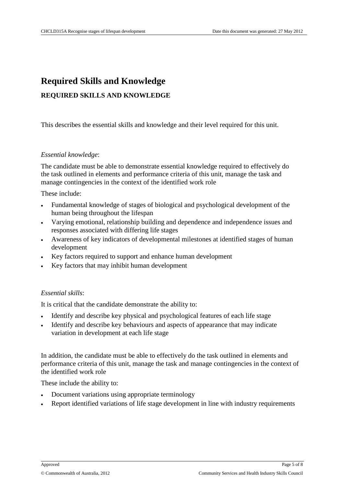## **Required Skills and Knowledge REQUIRED SKILLS AND KNOWLEDGE**

This describes the essential skills and knowledge and their level required for this unit.

### *Essential knowledge*:

The candidate must be able to demonstrate essential knowledge required to effectively do the task outlined in elements and performance criteria of this unit, manage the task and manage contingencies in the context of the identified work role

These include:

- Fundamental knowledge of stages of biological and psychological development of the human being throughout the lifespan
- Varying emotional, relationship building and dependence and independence issues and responses associated with differing life stages
- Awareness of key indicators of developmental milestones at identified stages of human development
- Key factors required to support and enhance human development
- Key factors that may inhibit human development

### *Essential skills*:

It is critical that the candidate demonstrate the ability to:

- Identify and describe key physical and psychological features of each life stage
- Identify and describe key behaviours and aspects of appearance that may indicate variation in development at each life stage

In addition, the candidate must be able to effectively do the task outlined in elements and performance criteria of this unit, manage the task and manage contingencies in the context of the identified work role

These include the ability to:

- Document variations using appropriate terminology
- Report identified variations of life stage development in line with industry requirements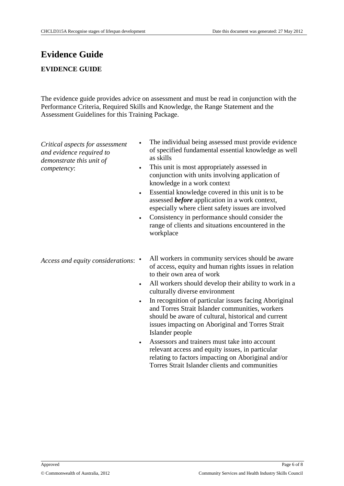## **Evidence Guide EVIDENCE GUIDE**

The evidence guide provides advice on assessment and must be read in conjunction with the Performance Criteria, Required Skills and Knowledge, the Range Statement and the Assessment Guidelines for this Training Package.

*Critical aspects for assessment and evidence required to demonstrate this unit of competency*:

- The individual being assessed must provide evidence of specified fundamental essential knowledge as well as skills
- This unit is most appropriately assessed in conjunction with units involving application of knowledge in a work context
- Essential knowledge covered in this unit is to be assessed *before* application in a work context, especially where client safety issues are involved
- Consistency in performance should consider the range of clients and situations encountered in the workplace

*Access and equity considerations*:

- All workers in community services should be aware of access, equity and human rights issues in relation to their own area of work
- All workers should develop their ability to work in a culturally diverse environment
- In recognition of particular issues facing Aboriginal and Torres Strait Islander communities, workers should be aware of cultural, historical and current issues impacting on Aboriginal and Torres Strait Islander people
- Assessors and trainers must take into account relevant access and equity issues, in particular relating to factors impacting on Aboriginal and/or Torres Strait Islander clients and communities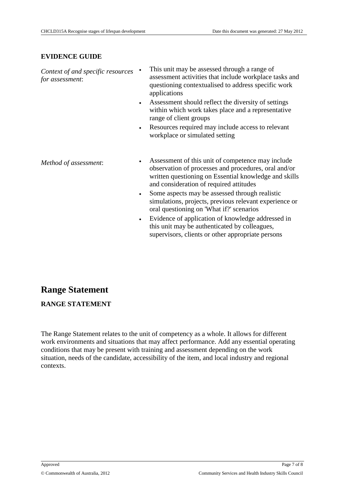### **EVIDENCE GUIDE**

| Context of and specific resources<br>for assessment: |           | This unit may be assessed through a range of<br>assessment activities that include workplace tasks and<br>questioning contextualised to address specific work<br>applications                                 |
|------------------------------------------------------|-----------|---------------------------------------------------------------------------------------------------------------------------------------------------------------------------------------------------------------|
|                                                      | $\bullet$ | Assessment should reflect the diversity of settings<br>within which work takes place and a representative<br>range of client groups                                                                           |
|                                                      | $\bullet$ | Resources required may include access to relevant<br>workplace or simulated setting                                                                                                                           |
| Method of assessment:                                |           | Assessment of this unit of competence may include<br>observation of processes and procedures, oral and/or<br>written questioning on Essential knowledge and skills<br>and consideration of required attitudes |
|                                                      | $\bullet$ | Some aspects may be assessed through realistic<br>simulations, projects, previous relevant experience or<br>oral questioning on 'What if?' scenarios                                                          |
|                                                      |           | Evidence of application of knowledge addressed in<br>this unit may be authenticated by colleagues,                                                                                                            |

supervisors, clients or other appropriate persons

## **Range Statement**

**RANGE STATEMENT**

The Range Statement relates to the unit of competency as a whole. It allows for different work environments and situations that may affect performance. Add any essential operating conditions that may be present with training and assessment depending on the work situation, needs of the candidate, accessibility of the item, and local industry and regional contexts.